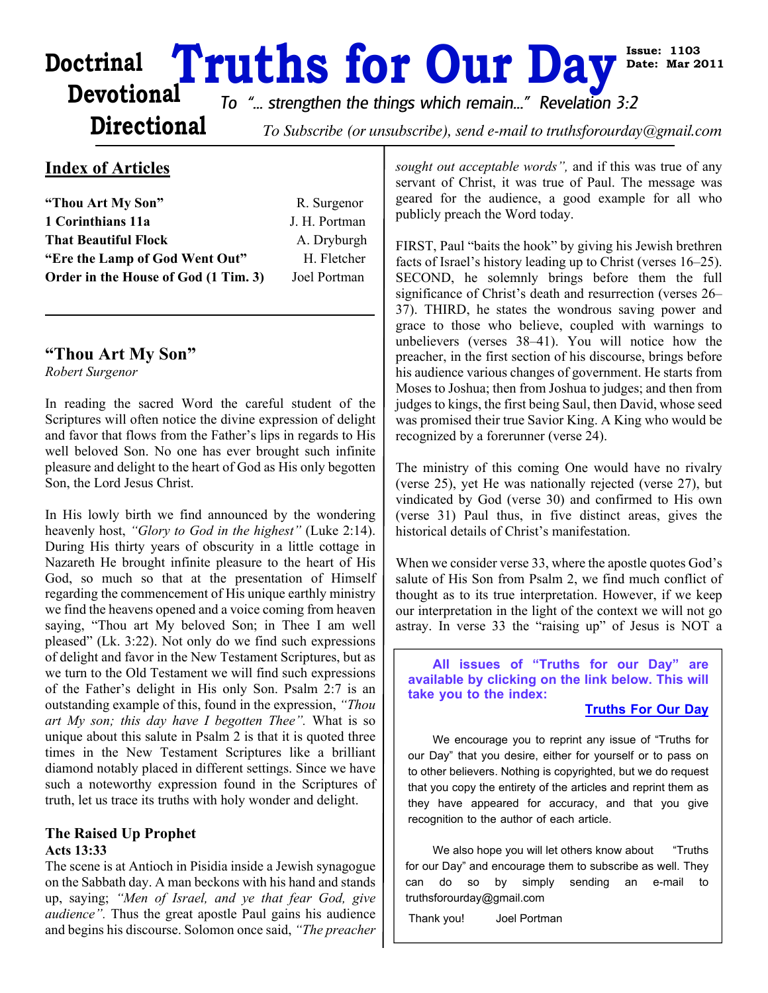# Doctrinal **Truths for Our Day**<sup>58</sup><br>Devotional *To "... strengthen the things which remain..." Revelation 3:2*

**Issue: 1103 Date: Mar 2011**

## **Directional**

To Subscribe (or unsubscribe), send e-mail to truthsforourday@gmail.com

#### **Index of Articles**

| "Thou Art My Son"                    | R. Surgenor   |
|--------------------------------------|---------------|
| 1 Corinthians 11a                    | J. H. Portman |
| <b>That Beautiful Flock</b>          | A. Dryburgh   |
| "Ere the Lamp of God Went Out"       | H. Fletcher   |
| Order in the House of God (1 Tim. 3) | Joel Portman  |

#### **"Thou Art My Son"**

*Robert Surgenor*

In reading the sacred Word the careful student of the Scriptures will often notice the divine expression of delight and favor that flows from the Father's lips in regards to His well beloved Son. No one has ever brought such infinite pleasure and delight to the heart of God as His only begotten Son, the Lord Jesus Christ.

In His lowly birth we find announced by the wondering heavenly host, *"Glory to God in the highest"* (Luke 2:14). During His thirty years of obscurity in a little cottage in Nazareth He brought infinite pleasure to the heart of His God, so much so that at the presentation of Himself regarding the commencement of His unique earthly ministry we find the heavens opened and a voice coming from heaven saying, "Thou art My beloved Son; in Thee I am well pleased" (Lk. 3:22). Not only do we find such expressions of delight and favor in the New Testament Scriptures, but as we turn to the Old Testament we will find such expressions of the Father's delight in His only Son. Psalm 2:7 is an outstanding example of this, found in the expression, *"Thou art My son; this day have I begotten Thee".* What is so unique about this salute in Psalm 2 is that it is quoted three times in the New Testament Scriptures like a brilliant diamond notably placed in different settings. Since we have such a noteworthy expression found in the Scriptures of truth, let us trace its truths with holy wonder and delight.

#### **The Raised Up Prophet Acts 13:33**

The scene is at Antioch in Pisidia inside a Jewish synagogue on the Sabbath day. A man beckons with his hand and stands up, saying; *"Men of Israel, and ye that fear God, give audience".* Thus the great apostle Paul gains his audience and begins his discourse. Solomon once said, *"The preacher*

*sought out acceptable words",* and if this was true of any servant of Christ, it was true of Paul. The message was geared for the audience, a good example for all who publicly preach the Word today.

FIRST, Paul "baits the hook" by giving his Jewish brethren facts of Israel's history leading up to Christ (verses 16–25). SECOND, he solemnly brings before them the full significance of Christ's death and resurrection (verses 26– 37). THIRD, he states the wondrous saving power and grace to those who believe, coupled with warnings to unbelievers (verses 38–41). You will notice how the preacher, in the first section of his discourse, brings before his audience various changes of government. He starts from Moses to Joshua; then from Joshua to judges; and then from judges to kings, the first being Saul, then David, whose seed was promised their true Savior King. A King who would be recognized by a forerunner (verse 24).

The ministry of this coming One would have no rivalry (verse 25), yet He was nationally rejected (verse 27), but vindicated by God (verse 30) and confirmed to His own (verse 31) Paul thus, in five distinct areas, gives the historical details of Christ's manifestation.

When we consider verse 33, where the apostle quotes God's salute of His Son from Psalm 2, we find much conflict of thought as to its true interpretation. However, if we keep our interpretation in the light of the context we will not go astray. In verse 33 the "raising up" of Jesus is NOT a

**All issues of "Truths for our Day" are available by clicking on the link below. This will take you to the index:**

#### **[Truths For Our Day](http://truthsforourday.com)**

We encourage you to reprint any issue of "Truths for our Day" that you desire, either for yourself or to pass on to other believers. Nothing is copyrighted, but we do request that you copy the entirety of the articles and reprint them as they have appeared for accuracy, and that you give recognition to the author of each article.

We also hope you will let others know about "Truths" for our Day" and encourage them to subscribe as well. They can do so by simply sending an e-mail to truthsforourday@gmail.com

Thank you! Joel Portman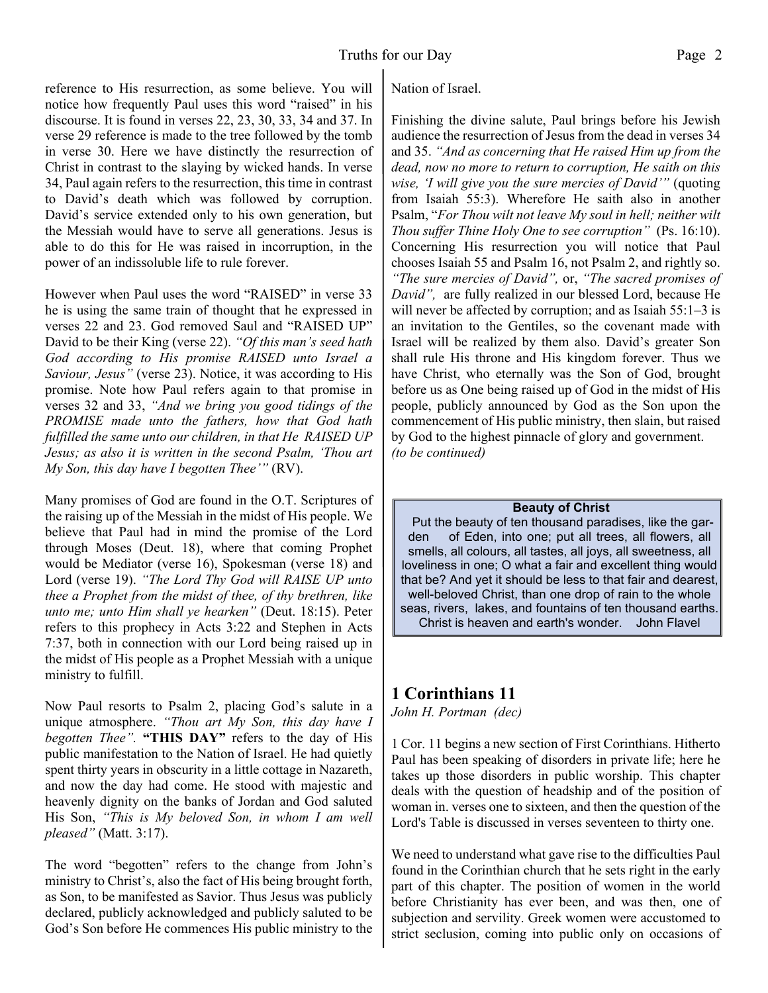reference to His resurrection, as some believe. You will notice how frequently Paul uses this word "raised" in his discourse. It is found in verses 22, 23, 30, 33, 34 and 37. In verse 29 reference is made to the tree followed by the tomb in verse 30. Here we have distinctly the resurrection of Christ in contrast to the slaying by wicked hands. In verse 34, Paul again refers to the resurrection, this time in contrast to David's death which was followed by corruption. David's service extended only to his own generation, but the Messiah would have to serve all generations. Jesus is able to do this for He was raised in incorruption, in the power of an indissoluble life to rule forever.

However when Paul uses the word "RAISED" in verse 33 he is using the same train of thought that he expressed in verses 22 and 23. God removed Saul and "RAISED UP" David to be their King (verse 22). *"Of this man's seed hath God according to His promise RAISED unto Israel a Saviour, Jesus"* (verse 23). Notice, it was according to His promise. Note how Paul refers again to that promise in verses 32 and 33, *"And we bring you good tidings of the PROMISE made unto the fathers, how that God hath fulfilled the same unto our children, in that He RAISED UP Jesus; as also it is written in the second Psalm, 'Thou art My Son, this day have I begotten Thee'"* (RV).

Many promises of God are found in the O.T. Scriptures of the raising up of the Messiah in the midst of His people. We believe that Paul had in mind the promise of the Lord through Moses (Deut. 18), where that coming Prophet would be Mediator (verse 16), Spokesman (verse 18) and Lord (verse 19). *"The Lord Thy God will RAISE UP unto thee a Prophet from the midst of thee, of thy brethren, like unto me; unto Him shall ye hearken"* (Deut. 18:15). Peter refers to this prophecy in Acts 3:22 and Stephen in Acts 7:37, both in connection with our Lord being raised up in the midst of His people as a Prophet Messiah with a unique ministry to fulfill.

Now Paul resorts to Psalm 2, placing God's salute in a unique atmosphere. *"Thou art My Son, this day have I begotten Thee".* **"THIS DAY"** refers to the day of His public manifestation to the Nation of Israel. He had quietly spent thirty years in obscurity in a little cottage in Nazareth, and now the day had come. He stood with majestic and heavenly dignity on the banks of Jordan and God saluted His Son, *"This is My beloved Son, in whom I am well pleased"* (Matt. 3:17).

The word "begotten" refers to the change from John's ministry to Christ's, also the fact of His being brought forth, as Son, to be manifested as Savior. Thus Jesus was publicly declared, publicly acknowledged and publicly saluted to be God's Son before He commences His public ministry to the Nation of Israel.

Finishing the divine salute, Paul brings before his Jewish audience the resurrection of Jesus from the dead in verses 34 and 35. *"And as concerning that He raised Him up from the dead, now no more to return to corruption, He saith on this wise, 'I will give you the sure mercies of David'"* (quoting from Isaiah 55:3). Wherefore He saith also in another Psalm, "*For Thou wilt not leave My soul in hell; neither wilt Thou suffer Thine Holy One to see corruption"* (Ps. 16:10). Concerning His resurrection you will notice that Paul chooses Isaiah 55 and Psalm 16, not Psalm 2, and rightly so. *"The sure mercies of David",* or, *"The sacred promises of David",* are fully realized in our blessed Lord, because He will never be affected by corruption; and as Isaiah 55:1–3 is an invitation to the Gentiles, so the covenant made with Israel will be realized by them also. David's greater Son shall rule His throne and His kingdom forever. Thus we have Christ, who eternally was the Son of God, brought before us as One being raised up of God in the midst of His people, publicly announced by God as the Son upon the commencement of His public ministry, then slain, but raised by God to the highest pinnacle of glory and government. *(to be continued)*

#### **Beauty of Christ**

 Put the beauty of ten thousand paradises, like the garden of Eden, into one; put all trees, all flowers, all smells, all colours, all tastes, all joys, all sweetness, all loveliness in one; O what a fair and excellent thing would that be? And yet it should be less to that fair and dearest, well-beloved Christ, than one drop of rain to the whole seas, rivers, lakes, and fountains of ten thousand earths. Christ is heaven and earth's wonder. John Flavel

### **1 Corinthians 11**

*John H. Portman (dec)*

1 Cor. 11 begins a new section of First Corinthians. Hitherto Paul has been speaking of disorders in private life; here he takes up those disorders in public worship. This chapter deals with the question of headship and of the position of woman in. verses one to sixteen, and then the question of the Lord's Table is discussed in verses seventeen to thirty one.

We need to understand what gave rise to the difficulties Paul found in the Corinthian church that he sets right in the early part of this chapter. The position of women in the world before Christianity has ever been, and was then, one of subjection and servility. Greek women were accustomed to strict seclusion, coming into public only on occasions of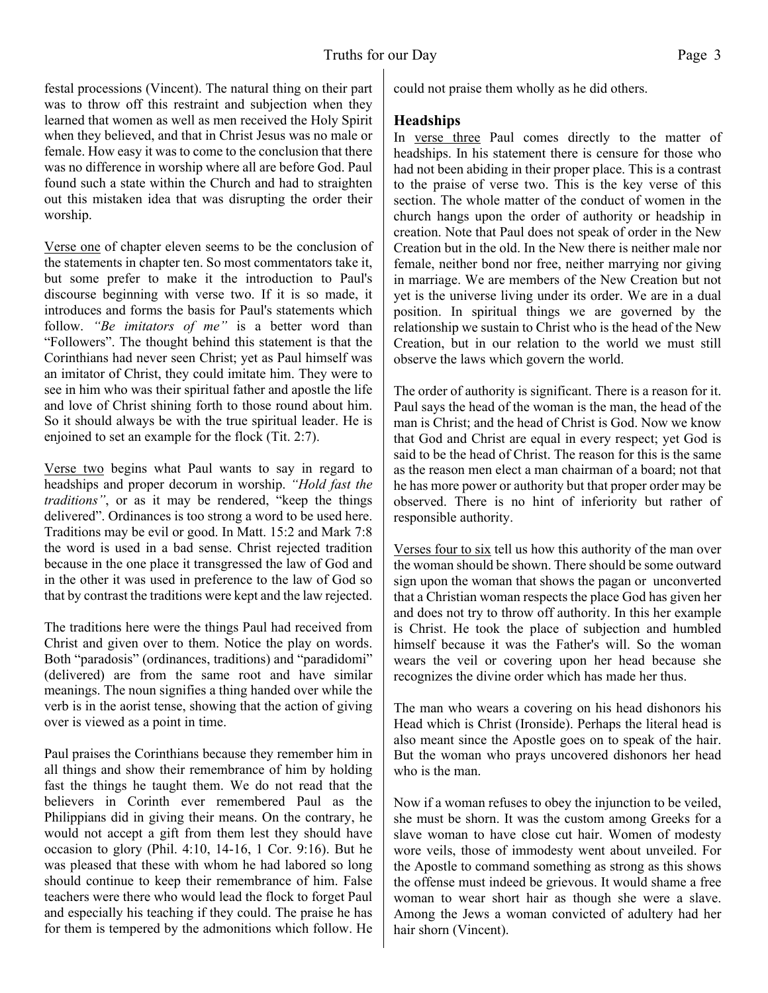festal processions (Vincent). The natural thing on their part was to throw off this restraint and subjection when they learned that women as well as men received the Holy Spirit when they believed, and that in Christ Jesus was no male or female. How easy it was to come to the conclusion that there was no difference in worship where all are before God. Paul found such a state within the Church and had to straighten out this mistaken idea that was disrupting the order their worship.

Verse one of chapter eleven seems to be the conclusion of the statements in chapter ten. So most commentators take it, but some prefer to make it the introduction to Paul's discourse beginning with verse two. If it is so made, it introduces and forms the basis for Paul's statements which follow. *"Be imitators of me"* is a better word than "Followers". The thought behind this statement is that the Corinthians had never seen Christ; yet as Paul himself was an imitator of Christ, they could imitate him. They were to see in him who was their spiritual father and apostle the life and love of Christ shining forth to those round about him. So it should always be with the true spiritual leader. He is enjoined to set an example for the flock (Tit. 2:7).

Verse two begins what Paul wants to say in regard to headships and proper decorum in worship. *"Hold fast the traditions"*, or as it may be rendered, "keep the things delivered". Ordinances is too strong a word to be used here. Traditions may be evil or good. In Matt. 15:2 and Mark 7:8 the word is used in a bad sense. Christ rejected tradition because in the one place it transgressed the law of God and in the other it was used in preference to the law of God so that by contrast the traditions were kept and the law rejected.

The traditions here were the things Paul had received from Christ and given over to them. Notice the play on words. Both "paradosis" (ordinances, traditions) and "paradidomi" (delivered) are from the same root and have similar meanings. The noun signifies a thing handed over while the verb is in the aorist tense, showing that the action of giving over is viewed as a point in time.

Paul praises the Corinthians because they remember him in all things and show their remembrance of him by holding fast the things he taught them. We do not read that the believers in Corinth ever remembered Paul as the Philippians did in giving their means. On the contrary, he would not accept a gift from them lest they should have occasion to glory (Phil. 4:10, 14-16, 1 Cor. 9:16). But he was pleased that these with whom he had labored so long should continue to keep their remembrance of him. False teachers were there who would lead the flock to forget Paul and especially his teaching if they could. The praise he has for them is tempered by the admonitions which follow. He could not praise them wholly as he did others.

#### **Headships**

In verse three Paul comes directly to the matter of headships. In his statement there is censure for those who had not been abiding in their proper place. This is a contrast to the praise of verse two. This is the key verse of this section. The whole matter of the conduct of women in the church hangs upon the order of authority or headship in creation. Note that Paul does not speak of order in the New Creation but in the old. In the New there is neither male nor female, neither bond nor free, neither marrying nor giving in marriage. We are members of the New Creation but not yet is the universe living under its order. We are in a dual position. In spiritual things we are governed by the relationship we sustain to Christ who is the head of the New Creation, but in our relation to the world we must still observe the laws which govern the world.

The order of authority is significant. There is a reason for it. Paul says the head of the woman is the man, the head of the man is Christ; and the head of Christ is God. Now we know that God and Christ are equal in every respect; yet God is said to be the head of Christ. The reason for this is the same as the reason men elect a man chairman of a board; not that he has more power or authority but that proper order may be observed. There is no hint of inferiority but rather of responsible authority.

Verses four to six tell us how this authority of the man over the woman should be shown. There should be some outward sign upon the woman that shows the pagan or unconverted that a Christian woman respects the place God has given her and does not try to throw off authority. In this her example is Christ. He took the place of subjection and humbled himself because it was the Father's will. So the woman wears the veil or covering upon her head because she recognizes the divine order which has made her thus.

The man who wears a covering on his head dishonors his Head which is Christ (Ironside). Perhaps the literal head is also meant since the Apostle goes on to speak of the hair. But the woman who prays uncovered dishonors her head who is the man.

Now if a woman refuses to obey the injunction to be veiled, she must be shorn. It was the custom among Greeks for a slave woman to have close cut hair. Women of modesty wore veils, those of immodesty went about unveiled. For the Apostle to command something as strong as this shows the offense must indeed be grievous. It would shame a free woman to wear short hair as though she were a slave. Among the Jews a woman convicted of adultery had her hair shorn (Vincent).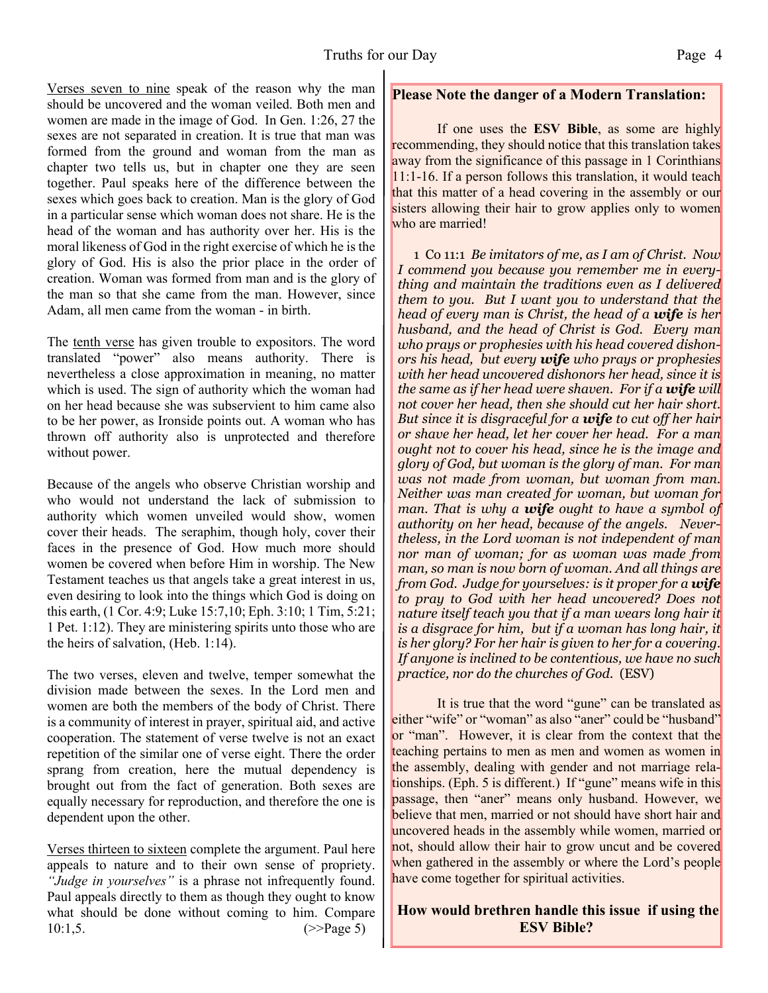**Please Note the danger of a Modern Translation:**

Verses seven to nine speak of the reason why the man should be uncovered and the woman veiled. Both men and women are made in the image of God. In Gen. 1:26, 27 the sexes are not separated in creation. It is true that man was formed from the ground and woman from the man as chapter two tells us, but in chapter one they are seen together. Paul speaks here of the difference between the sexes which goes back to creation. Man is the glory of God in a particular sense which woman does not share. He is the head of the woman and has authority over her. His is the moral likeness of God in the right exercise of which he is the glory of God. His is also the prior place in the order of creation. Woman was formed from man and is the glory of the man so that she came from the man. However, since Adam, all men came from the woman - in birth.

The tenth verse has given trouble to expositors. The word translated "power" also means authority. There is nevertheless a close approximation in meaning, no matter which is used. The sign of authority which the woman had on her head because she was subservient to him came also to be her power, as Ironside points out. A woman who has thrown off authority also is unprotected and therefore without power.

Because of the angels who observe Christian worship and who would not understand the lack of submission to authority which women unveiled would show, women cover their heads. The seraphim, though holy, cover their faces in the presence of God. How much more should women be covered when before Him in worship. The New Testament teaches us that angels take a great interest in us, even desiring to look into the things which God is doing on this earth, (1 Cor. 4:9; Luke 15:7,10; Eph. 3:10; 1 Tim, 5:21; 1 Pet. 1:12). They are ministering spirits unto those who are the heirs of salvation, (Heb. 1:14).

The two verses, eleven and twelve, temper somewhat the division made between the sexes. In the Lord men and women are both the members of the body of Christ. There is a community of interest in prayer, spiritual aid, and active cooperation. The statement of verse twelve is not an exact repetition of the similar one of verse eight. There the order sprang from creation, here the mutual dependency is brought out from the fact of generation. Both sexes are equally necessary for reproduction, and therefore the one is dependent upon the other.

Verses thirteen to sixteen complete the argument. Paul here appeals to nature and to their own sense of propriety. *"Judge in yourselves"* is a phrase not infrequently found. Paul appeals directly to them as though they ought to know what should be done without coming to him. Compare  $10:1,5.$  (>>Page 5)

 If one uses the **ESV Bible**, as some are highly recommending, they should notice that this translation takes away from the significance of this passage in 1 Corinthians  $|11:1-16$ . If a person follows this translation, it would teach that this matter of a head covering in the assembly or our sisters allowing their hair to grow applies only to women who are married!

1 Co 11:1 *Be imitators of me, as I am of Christ. Now I commend you because you remember me in everything and maintain the traditions even as I delivered them to you. But I want you to understand that the head of every man is Christ, the head of a wife is her husband, and the head of Christ is God. Every man who prays or prophesies with his head covered dishonors his head, but every wife who prays or prophesies with her head uncovered dishonors her head, since it is the same as if her head were shaven. For if a wife will not cover her head, then she should cut her hair short. But since it is disgraceful for a wife to cut off her hair or shave her head, let her cover her head. For a man ought not to cover his head, since he is the image and glory of God, but woman is the glory of man. For man was not made from woman, but woman from man. Neither was man created for woman, but woman for man. That is why a wife ought to have a symbol of authority on her head, because of the angels. Nevertheless, in the Lord woman is not independent of man nor man of woman; for as woman was made from man, so man is now born of woman. And all things are from God. Judge for yourselves: is it proper for a wife to pray to God with her head uncovered? Does not nature itself teach you that if a man wears long hair it is a disgrace for him, but if a woman has long hair, it is her glory? For her hair is given to her for a covering. If anyone is inclined to be contentious, we have no such practice, nor do the churches of God.* (ESV)

It is true that the word "gune" can be translated as either "wife" or "woman" as also "aner" could be "husband" or "man". However, it is clear from the context that the teaching pertains to men as men and women as women in the assembly, dealing with gender and not marriage relationships. (Eph. 5 is different.) If "gune" means wife in this passage, then "aner" means only husband. However, we believe that men, married or not should have short hair and uncovered heads in the assembly while women, married or not, should allow their hair to grow uncut and be covered when gathered in the assembly or where the Lord's people have come together for spiritual activities.

#### **How would brethren handle this issue if using the ESV Bible?**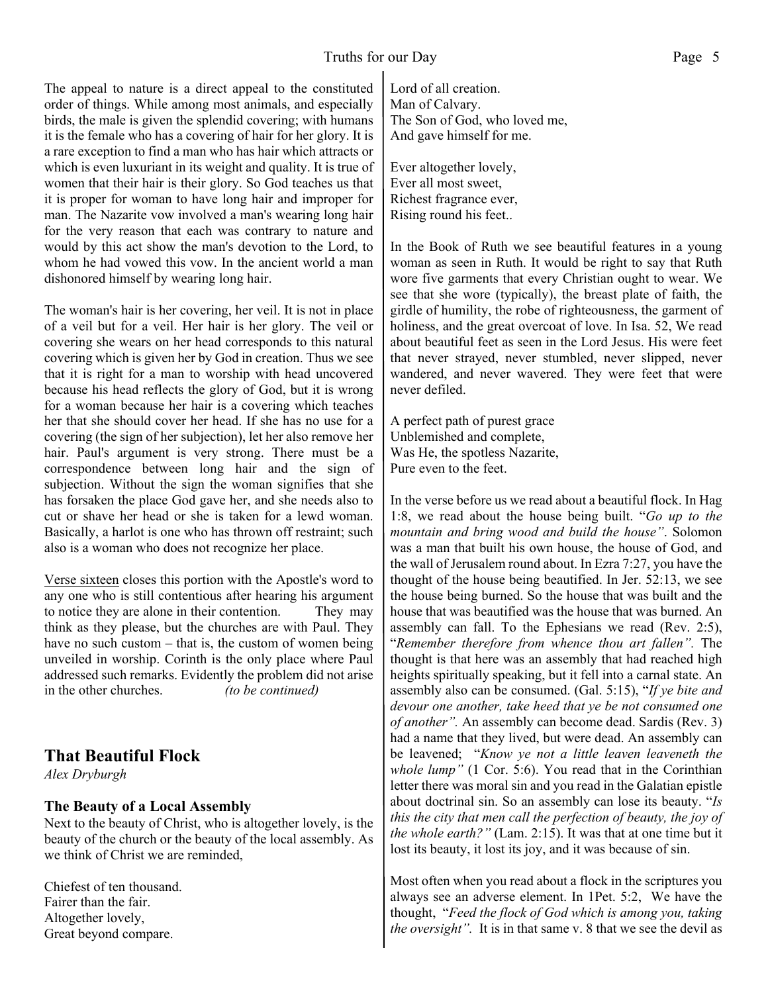The appeal to nature is a direct appeal to the constituted order of things. While among most animals, and especially birds, the male is given the splendid covering; with humans it is the female who has a covering of hair for her glory. It is a rare exception to find a man who has hair which attracts or which is even luxuriant in its weight and quality. It is true of women that their hair is their glory. So God teaches us that it is proper for woman to have long hair and improper for man. The Nazarite vow involved a man's wearing long hair for the very reason that each was contrary to nature and would by this act show the man's devotion to the Lord, to whom he had vowed this vow. In the ancient world a man dishonored himself by wearing long hair.

The woman's hair is her covering, her veil. It is not in place of a veil but for a veil. Her hair is her glory. The veil or covering she wears on her head corresponds to this natural covering which is given her by God in creation. Thus we see that it is right for a man to worship with head uncovered because his head reflects the glory of God, but it is wrong for a woman because her hair is a covering which teaches her that she should cover her head. If she has no use for a covering (the sign of her subjection), let her also remove her hair. Paul's argument is very strong. There must be a correspondence between long hair and the sign of subjection. Without the sign the woman signifies that she has forsaken the place God gave her, and she needs also to cut or shave her head or she is taken for a lewd woman. Basically, a harlot is one who has thrown off restraint; such also is a woman who does not recognize her place.

Verse sixteen closes this portion with the Apostle's word to any one who is still contentious after hearing his argument to notice they are alone in their contention. They may think as they please, but the churches are with Paul. They have no such custom – that is, the custom of women being unveiled in worship. Corinth is the only place where Paul addressed such remarks. Evidently the problem did not arise in the other churches. *(to be continued)*

#### **That Beautiful Flock**

*Alex Dryburgh*

#### **The Beauty of a Local Assembly**

Next to the beauty of Christ, who is altogether lovely, is the beauty of the church or the beauty of the local assembly. As we think of Christ we are reminded,

Chiefest of ten thousand. Fairer than the fair. Altogether lovely, Great beyond compare.

Lord of all creation. Man of Calvary. The Son of God, who loved me, And gave himself for me.

Ever altogether lovely, Ever all most sweet, Richest fragrance ever, Rising round his feet..

In the Book of Ruth we see beautiful features in a young woman as seen in Ruth. It would be right to say that Ruth wore five garments that every Christian ought to wear. We see that she wore (typically), the breast plate of faith, the girdle of humility, the robe of righteousness, the garment of holiness, and the great overcoat of love. In Isa. 52, We read about beautiful feet as seen in the Lord Jesus. His were feet that never strayed, never stumbled, never slipped, never wandered, and never wavered. They were feet that were never defiled.

A perfect path of purest grace Unblemished and complete, Was He, the spotless Nazarite, Pure even to the feet.

In the verse before us we read about a beautiful flock. In Hag 1:8, we read about the house being built. "*Go up to the mountain and bring wood and build the house"*. Solomon was a man that built his own house, the house of God, and the wall of Jerusalem round about. In Ezra 7:27, you have the thought of the house being beautified. In Jer. 52:13, we see the house being burned. So the house that was built and the house that was beautified was the house that was burned. An assembly can fall. To the Ephesians we read (Rev. 2:5), "*Remember therefore from whence thou art fallen".* The thought is that here was an assembly that had reached high heights spiritually speaking, but it fell into a carnal state. An assembly also can be consumed. (Gal. 5:15), "*If ye bite and devour one another, take heed that ye be not consumed one of another".* An assembly can become dead. Sardis (Rev. 3) had a name that they lived, but were dead. An assembly can be leavened; "*Know ye not a little leaven leaveneth the whole lump"* (1 Cor. 5:6). You read that in the Corinthian letter there was moral sin and you read in the Galatian epistle about doctrinal sin. So an assembly can lose its beauty. "*Is this the city that men call the perfection of beauty, the joy of the whole earth?"* (Lam. 2:15). It was that at one time but it lost its beauty, it lost its joy, and it was because of sin.

Most often when you read about a flock in the scriptures you always see an adverse element. In 1Pet. 5:2, We have the thought, "*Feed the flock of God which is among you, taking the oversight".* It is in that same v. 8 that we see the devil as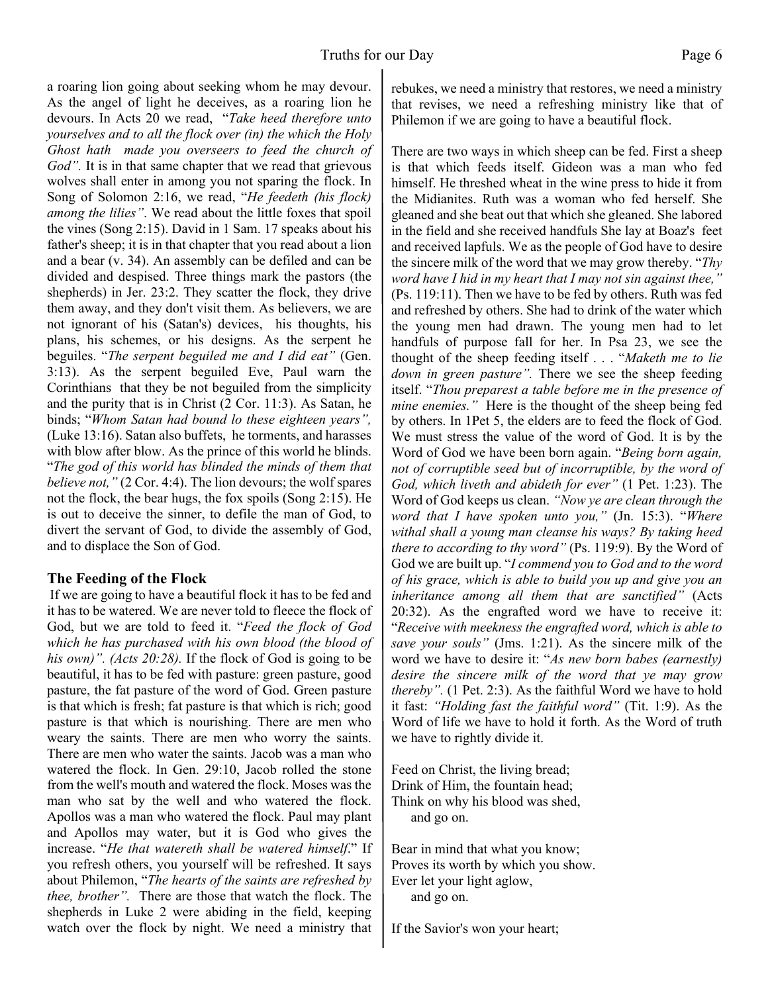a roaring lion going about seeking whom he may devour. As the angel of light he deceives, as a roaring lion he devours. In Acts 20 we read, "*Take heed therefore unto yourselves and to all the flock over (in) the which the Holy Ghost hath made you overseers to feed the church of God"*. It is in that same chapter that we read that grievous wolves shall enter in among you not sparing the flock. In Song of Solomon 2:16, we read, "*He feedeth (his flock) among the lilies"*. We read about the little foxes that spoil the vines (Song 2:15). David in 1 Sam. 17 speaks about his father's sheep; it is in that chapter that you read about a lion and a bear (v. 34). An assembly can be defiled and can be divided and despised. Three things mark the pastors (the shepherds) in Jer. 23:2. They scatter the flock, they drive them away, and they don't visit them. As believers, we are not ignorant of his (Satan's) devices, his thoughts, his plans, his schemes, or his designs. As the serpent he beguiles. "*The serpent beguiled me and I did eat"* (Gen. 3:13). As the serpent beguiled Eve, Paul warn the Corinthians that they be not beguiled from the simplicity and the purity that is in Christ (2 Cor. 11:3). As Satan, he binds; "*Whom Satan had bound lo these eighteen years",* (Luke 13:16). Satan also buffets, he torments, and harasses with blow after blow. As the prince of this world he blinds. "*The god of this world has blinded the minds of them that believe not,"* (2 Cor. 4:4). The lion devours; the wolf spares not the flock, the bear hugs, the fox spoils (Song 2:15). He is out to deceive the sinner, to defile the man of God, to divert the servant of God, to divide the assembly of God, and to displace the Son of God.

#### **The Feeding of the Flock**

If we are going to have a beautiful flock it has to be fed and it has to be watered. We are never told to fleece the flock of God, but we are told to feed it. "*Feed the flock of God which he has purchased with his own blood (the blood of his own)". (Acts 20:28).* If the flock of God is going to be beautiful, it has to be fed with pasture: green pasture, good pasture, the fat pasture of the word of God. Green pasture is that which is fresh; fat pasture is that which is rich; good pasture is that which is nourishing. There are men who weary the saints. There are men who worry the saints. There are men who water the saints. Jacob was a man who watered the flock. In Gen. 29:10, Jacob rolled the stone from the well's mouth and watered the flock. Moses was the man who sat by the well and who watered the flock. Apollos was a man who watered the flock. Paul may plant and Apollos may water, but it is God who gives the increase. "*He that watereth shall be watered himself*." If you refresh others, you yourself will be refreshed. It says about Philemon, "*The hearts of the saints are refreshed by thee, brother".* There are those that watch the flock. The shepherds in Luke 2 were abiding in the field, keeping watch over the flock by night. We need a ministry that

rebukes, we need a ministry that restores, we need a ministry that revises, we need a refreshing ministry like that of Philemon if we are going to have a beautiful flock.

There are two ways in which sheep can be fed. First a sheep is that which feeds itself. Gideon was a man who fed himself. He threshed wheat in the wine press to hide it from the Midianites. Ruth was a woman who fed herself. She gleaned and she beat out that which she gleaned. She labored in the field and she received handfuls She lay at Boaz's feet and received lapfuls. We as the people of God have to desire the sincere milk of the word that we may grow thereby. "*Thy word have I hid in my heart that I may not sin against thee,"* (Ps. 119:11). Then we have to be fed by others. Ruth was fed and refreshed by others. She had to drink of the water which the young men had drawn. The young men had to let handfuls of purpose fall for her. In Psa 23, we see the thought of the sheep feeding itself . . . "*Maketh me to lie down in green pasture".* There we see the sheep feeding itself. "*Thou preparest a table before me in the presence of mine enemies."* Here is the thought of the sheep being fed by others. In 1Pet 5, the elders are to feed the flock of God. We must stress the value of the word of God. It is by the Word of God we have been born again. "*Being born again, not of corruptible seed but of incorruptible, by the word of God, which liveth and abideth for ever"* (1 Pet. 1:23). The Word of God keeps us clean. *"Now ye are clean through the word that I have spoken unto you,"* (Jn. 15:3). "*Where withal shall a young man cleanse his ways? By taking heed there to according to thy word"* (Ps. 119:9). By the Word of God we are built up. "*I commend you to God and to the word of his grace, which is able to build you up and give you an inheritance among all them that are sanctified"* (Acts 20:32). As the engrafted word we have to receive it: "*Receive with meekness the engrafted word, which is able to save your souls"* (Jms. 1:21). As the sincere milk of the word we have to desire it: "*As new born babes (earnestly) desire the sincere milk of the word that ye may grow thereby".* (1 Pet. 2:3). As the faithful Word we have to hold it fast: *"Holding fast the faithful word"* (Tit. 1:9). As the Word of life we have to hold it forth. As the Word of truth we have to rightly divide it.

Feed on Christ, the living bread; Drink of Him, the fountain head; Think on why his blood was shed, and go on.

Bear in mind that what you know; Proves its worth by which you show. Ever let your light aglow, and go on.

If the Savior's won your heart;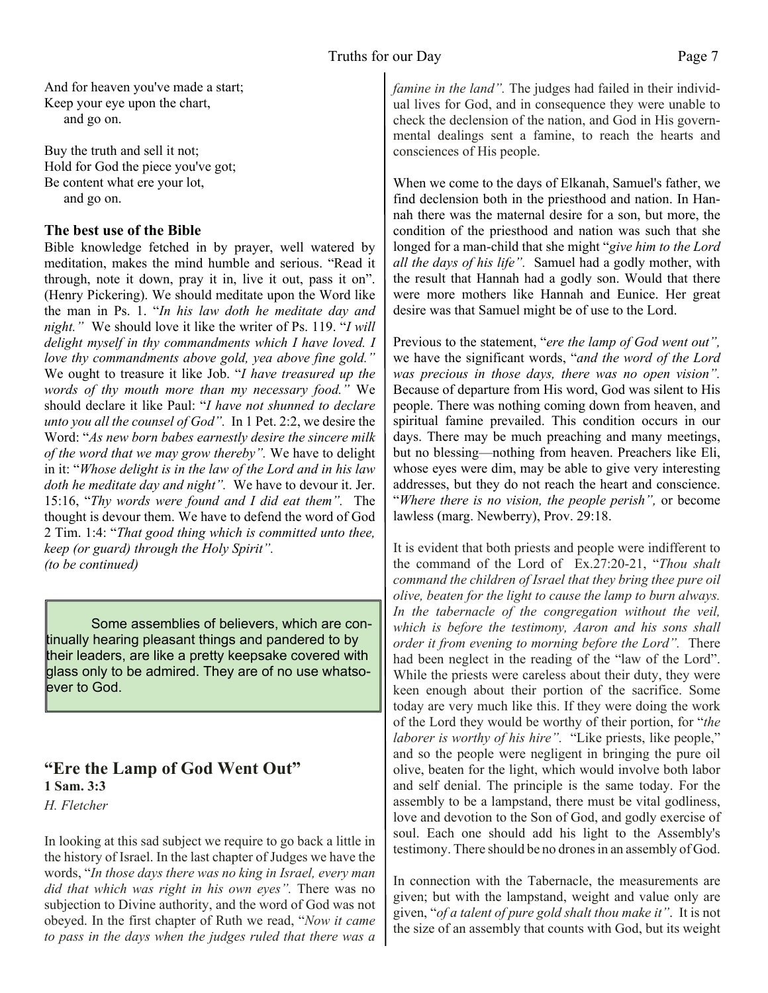And for heaven you've made a start; Keep your eye upon the chart, and go on.

Buy the truth and sell it not; Hold for God the piece you've got; Be content what ere your lot, and go on.

#### **The best use of the Bible**

Bible knowledge fetched in by prayer, well watered by meditation, makes the mind humble and serious. "Read it through, note it down, pray it in, live it out, pass it on". (Henry Pickering). We should meditate upon the Word like the man in Ps. 1. "*In his law doth he meditate day and night."* We should love it like the writer of Ps. 119. "*I will delight myself in thy commandments which I have loved. I love thy commandments above gold, yea above fine gold."* We ought to treasure it like Job. "*I have treasured up the words of thy mouth more than my necessary food."* We should declare it like Paul: "*I have not shunned to declare unto you all the counsel of God".* In 1 Pet. 2:2, we desire the Word: "*As new born babes earnestly desire the sincere milk of the word that we may grow thereby".* We have to delight in it: "*Whose delight is in the law of the Lord and in his law doth he meditate day and night".* We have to devour it. Jer. 15:16, "*Thy words were found and I did eat them".* The thought is devour them. We have to defend the word of God 2 Tim. 1:4: "*That good thing which is committed unto thee, keep (or guard) through the Holy Spirit". (to be continued)*

 Some assemblies of believers, which are continually hearing pleasant things and pandered to by their leaders, are like a pretty keepsake covered with glass only to be admired. They are of no use whatsoever to God.

#### **"Ere the Lamp of God Went Out" 1 Sam. 3:3**

*H. Fletcher*

In looking at this sad subject we require to go back a little in the history of Israel. In the last chapter of Judges we have the words, "*In those days there was no king in Israel, every man did that which was right in his own eyes".* There was no subjection to Divine authority, and the word of God was not obeyed. In the first chapter of Ruth we read, "*Now it came to pass in the days when the judges ruled that there was a* *famine in the land"*. The judges had failed in their individual lives for God, and in consequence they were unable to check the declension of the nation, and God in His governmental dealings sent a famine, to reach the hearts and consciences of His people.

When we come to the days of Elkanah, Samuel's father, we find declension both in the priesthood and nation. In Hannah there was the maternal desire for a son, but more, the condition of the priesthood and nation was such that she longed for a man-child that she might "*give him to the Lord all the days of his life".* Samuel had a godly mother, with the result that Hannah had a godly son. Would that there were more mothers like Hannah and Eunice. Her great desire was that Samuel might be of use to the Lord.

Previous to the statement, "*ere the lamp of God went out",* we have the significant words, "*and the word of the Lord was precious in those days, there was no open vision".* Because of departure from His word, God was silent to His people. There was nothing coming down from heaven, and spiritual famine prevailed. This condition occurs in our days. There may be much preaching and many meetings, but no blessing—nothing from heaven. Preachers like Eli, whose eyes were dim, may be able to give very interesting addresses, but they do not reach the heart and conscience. "*Where there is no vision, the people perish",* or become lawless (marg. Newberry), Prov. 29:18.

It is evident that both priests and people were indifferent to the command of the Lord of Ex.27:20-21, "*Thou shalt command the children of Israel that they bring thee pure oil olive, beaten for the light to cause the lamp to burn always. In the tabernacle of the congregation without the veil, which is before the testimony, Aaron and his sons shall order it from evening to morning before the Lord".* There had been neglect in the reading of the "law of the Lord". While the priests were careless about their duty, they were keen enough about their portion of the sacrifice. Some today are very much like this. If they were doing the work of the Lord they would be worthy of their portion, for "*the laborer is worthy of his hire".* "Like priests, like people," and so the people were negligent in bringing the pure oil olive, beaten for the light, which would involve both labor and self denial. The principle is the same today. For the assembly to be a lampstand, there must be vital godliness, love and devotion to the Son of God, and godly exercise of soul. Each one should add his light to the Assembly's testimony. There should be no drones in an assembly of God.

In connection with the Tabernacle, the measurements are given; but with the lampstand, weight and value only are given, "*of a talent of pure gold shalt thou make it"*. It is not the size of an assembly that counts with God, but its weight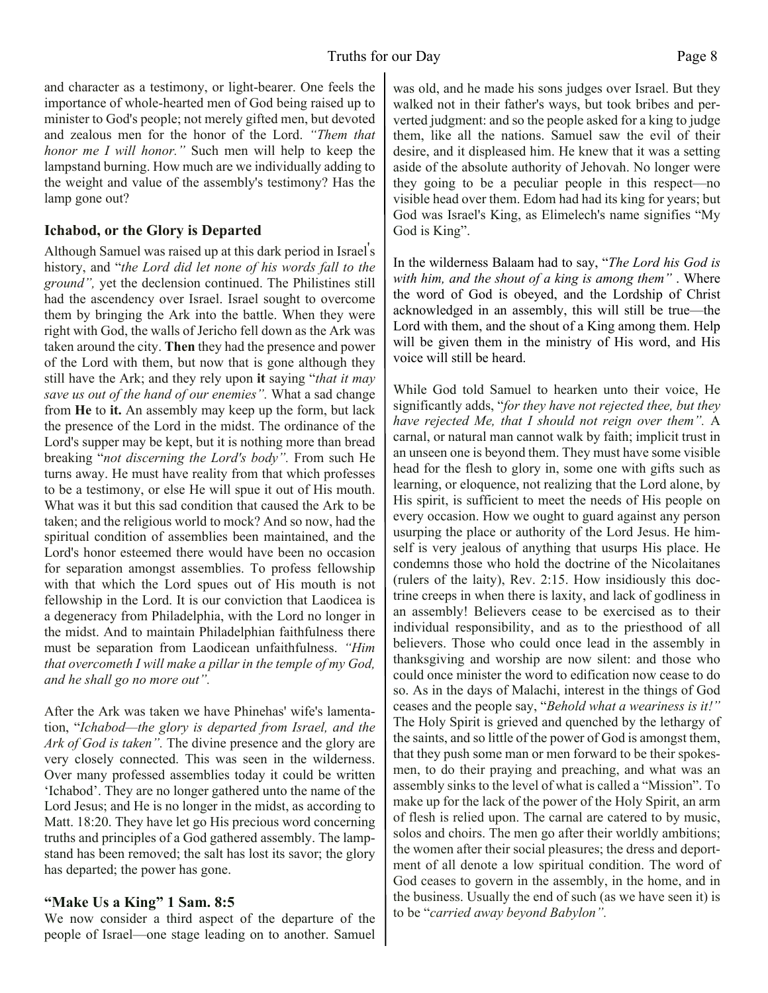and character as a testimony, or light-bearer. One feels the importance of whole-hearted men of God being raised up to minister to God's people; not merely gifted men, but devoted and zealous men for the honor of the Lord. *"Them that honor me I will honor."* Such men will help to keep the lampstand burning. How much are we individually adding to the weight and value of the assembly's testimony? Has the lamp gone out?

#### **Ichabod, or the Glory is Departed**

Although Samuel was raised up at this dark period in Israel' s history, and "*the Lord did let none of his words fall to the ground",* yet the declension continued. The Philistines still had the ascendency over Israel. Israel sought to overcome them by bringing the Ark into the battle. When they were right with God, the walls of Jericho fell down as the Ark was taken around the city. **Then** they had the presence and power of the Lord with them, but now that is gone although they still have the Ark; and they rely upon **it** saying "*that it may save us out of the hand of our enemies".* What a sad change from **He** to **it.** An assembly may keep up the form, but lack the presence of the Lord in the midst. The ordinance of the Lord's supper may be kept, but it is nothing more than bread breaking "*not discerning the Lord's body".* From such He turns away. He must have reality from that which professes to be a testimony, or else He will spue it out of His mouth. What was it but this sad condition that caused the Ark to be taken; and the religious world to mock? And so now, had the spiritual condition of assemblies been maintained, and the Lord's honor esteemed there would have been no occasion for separation amongst assemblies. To profess fellowship with that which the Lord spues out of His mouth is not fellowship in the Lord. It is our conviction that Laodicea is a degeneracy from Philadelphia, with the Lord no longer in the midst. And to maintain Philadelphian faithfulness there must be separation from Laodicean unfaithfulness. *"Him that overcometh I will make a pillar in the temple of my God, and he shall go no more out".*

After the Ark was taken we have Phinehas' wife's lamentation, "*Ichabod—the glory is departed from Israel, and the Ark of God is taken".* The divine presence and the glory are very closely connected. This was seen in the wilderness. Over many professed assemblies today it could be written 'Ichabod'. They are no longer gathered unto the name of the Lord Jesus; and He is no longer in the midst, as according to Matt. 18:20. They have let go His precious word concerning truths and principles of a God gathered assembly. The lampstand has been removed; the salt has lost its savor; the glory has departed; the power has gone.

#### **"Make Us a King" 1 Sam. 8:5**

We now consider a third aspect of the departure of the people of Israel—one stage leading on to another. Samuel was old, and he made his sons judges over Israel. But they walked not in their father's ways, but took bribes and perverted judgment: and so the people asked for a king to judge them, like all the nations. Samuel saw the evil of their desire, and it displeased him. He knew that it was a setting aside of the absolute authority of Jehovah. No longer were they going to be a peculiar people in this respect—no visible head over them. Edom had had its king for years; but God was Israel's King, as Elimelech's name signifies "My God is King".

In the wilderness Balaam had to say, "*The Lord his God is with him, and the shout of a king is among them"* . Where the word of God is obeyed, and the Lordship of Christ acknowledged in an assembly, this will still be true—the Lord with them, and the shout of a King among them. Help will be given them in the ministry of His word, and His voice will still be heard.

While God told Samuel to hearken unto their voice, He significantly adds, "*for they have not rejected thee, but they have rejected Me, that I should not reign over them".* A carnal, or natural man cannot walk by faith; implicit trust in an unseen one is beyond them. They must have some visible head for the flesh to glory in, some one with gifts such as learning, or eloquence, not realizing that the Lord alone, by His spirit, is sufficient to meet the needs of His people on every occasion. How we ought to guard against any person usurping the place or authority of the Lord Jesus. He himself is very jealous of anything that usurps His place. He condemns those who hold the doctrine of the Nicolaitanes (rulers of the laity), Rev. 2:15. How insidiously this doctrine creeps in when there is laxity, and lack of godliness in an assembly! Believers cease to be exercised as to their individual responsibility, and as to the priesthood of all believers. Those who could once lead in the assembly in thanksgiving and worship are now silent: and those who could once minister the word to edification now cease to do so. As in the days of Malachi, interest in the things of God ceases and the people say, "*Behold what a weariness is it!"* The Holy Spirit is grieved and quenched by the lethargy of the saints, and so little of the power of God is amongst them, that they push some man or men forward to be their spokesmen, to do their praying and preaching, and what was an assembly sinks to the level of what is called a "Mission". To make up for the lack of the power of the Holy Spirit, an arm of flesh is relied upon. The carnal are catered to by music, solos and choirs. The men go after their worldly ambitions; the women after their social pleasures; the dress and deportment of all denote a low spiritual condition. The word of God ceases to govern in the assembly, in the home, and in the business. Usually the end of such (as we have seen it) is to be "*carried away beyond Babylon".*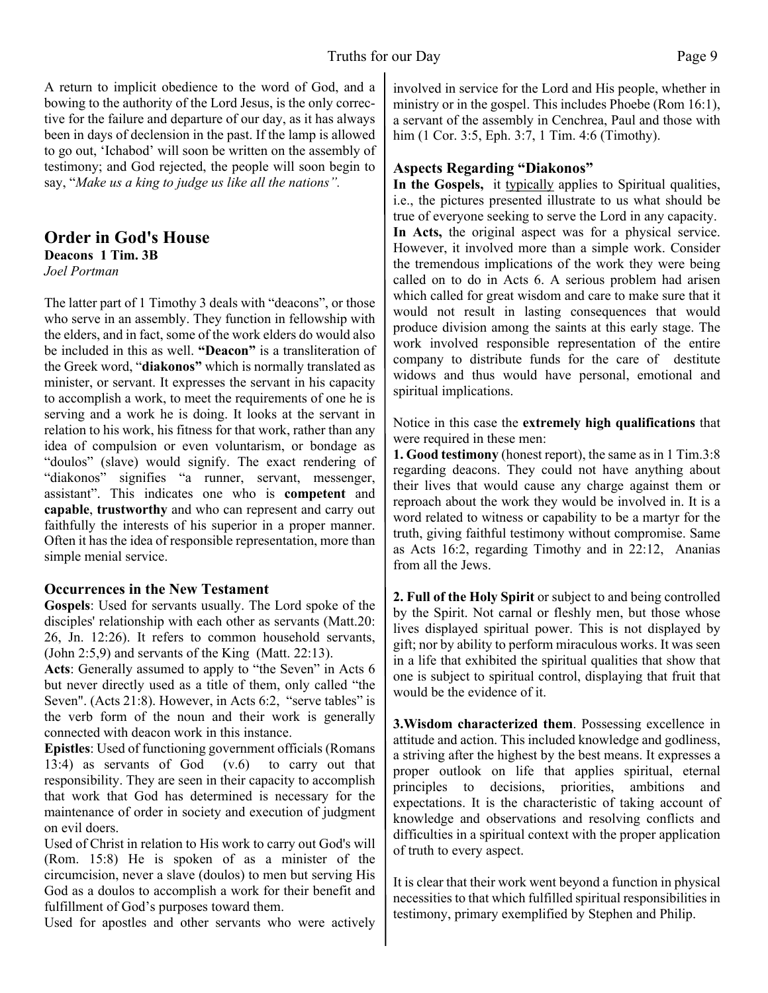A return to implicit obedience to the word of God, and a bowing to the authority of the Lord Jesus, is the only corrective for the failure and departure of our day, as it has always been in days of declension in the past. If the lamp is allowed to go out, 'Ichabod' will soon be written on the assembly of testimony; and God rejected, the people will soon begin to say, "*Make us a king to judge us like all the nations".*

#### **Order in God's House Deacons 1 Tim. 3B**

*Joel Portman*

The latter part of 1 Timothy 3 deals with "deacons", or those who serve in an assembly. They function in fellowship with the elders, and in fact, some of the work elders do would also be included in this as well. **"Deacon"** is a transliteration of the Greek word, "**diakonos"** which is normally translated as minister, or servant. It expresses the servant in his capacity to accomplish a work, to meet the requirements of one he is serving and a work he is doing. It looks at the servant in relation to his work, his fitness for that work, rather than any idea of compulsion or even voluntarism, or bondage as "doulos" (slave) would signify. The exact rendering of "diakonos" signifies "a runner, servant, messenger, assistant". This indicates one who is **competent** and **capable**, **trustworthy** and who can represent and carry out faithfully the interests of his superior in a proper manner. Often it has the idea of responsible representation, more than simple menial service.

#### **Occurrences in the New Testament**

**Gospels**: Used for servants usually. The Lord spoke of the disciples' relationship with each other as servants (Matt.20: 26, Jn. 12:26). It refers to common household servants, (John 2:5,9) and servants of the King (Matt. 22:13).

**Acts**: Generally assumed to apply to "the Seven" in Acts 6 but never directly used as a title of them, only called "the Seven". (Acts 21:8). However, in Acts 6:2, "serve tables" is the verb form of the noun and their work is generally connected with deacon work in this instance.

**Epistles**: Used of functioning government officials (Romans 13:4) as servants of God (v.6) to carry out that responsibility. They are seen in their capacity to accomplish that work that God has determined is necessary for the maintenance of order in society and execution of judgment on evil doers.

Used of Christ in relation to His work to carry out God's will (Rom. 15:8) He is spoken of as a minister of the circumcision, never a slave (doulos) to men but serving His God as a doulos to accomplish a work for their benefit and fulfillment of God's purposes toward them.

Used for apostles and other servants who were actively

involved in service for the Lord and His people, whether in ministry or in the gospel. This includes Phoebe (Rom 16:1), a servant of the assembly in Cenchrea, Paul and those with him (1 Cor. 3:5, Eph. 3:7, 1 Tim. 4:6 (Timothy).

#### **Aspects Regarding "Diakonos"**

**In the Gospels,** it typically applies to Spiritual qualities, i.e., the pictures presented illustrate to us what should be true of everyone seeking to serve the Lord in any capacity. **In Acts,** the original aspect was for a physical service. However, it involved more than a simple work. Consider the tremendous implications of the work they were being called on to do in Acts 6. A serious problem had arisen which called for great wisdom and care to make sure that it would not result in lasting consequences that would produce division among the saints at this early stage. The work involved responsible representation of the entire company to distribute funds for the care of destitute widows and thus would have personal, emotional and spiritual implications.

Notice in this case the **extremely high qualifications** that were required in these men:

**1. Good testimony** (honest report), the same as in 1 Tim.3:8 regarding deacons. They could not have anything about their lives that would cause any charge against them or reproach about the work they would be involved in. It is a word related to witness or capability to be a martyr for the truth, giving faithful testimony without compromise. Same as Acts 16:2, regarding Timothy and in 22:12, Ananias from all the Jews.

**2. Full of the Holy Spirit** or subject to and being controlled by the Spirit. Not carnal or fleshly men, but those whose lives displayed spiritual power. This is not displayed by gift; nor by ability to perform miraculous works. It was seen in a life that exhibited the spiritual qualities that show that one is subject to spiritual control, displaying that fruit that would be the evidence of it.

**3.Wisdom characterized them**. Possessing excellence in attitude and action. This included knowledge and godliness, a striving after the highest by the best means. It expresses a proper outlook on life that applies spiritual, eternal principles to decisions, priorities, ambitions and expectations. It is the characteristic of taking account of knowledge and observations and resolving conflicts and difficulties in a spiritual context with the proper application of truth to every aspect.

It is clear that their work went beyond a function in physical necessities to that which fulfilled spiritual responsibilities in testimony, primary exemplified by Stephen and Philip.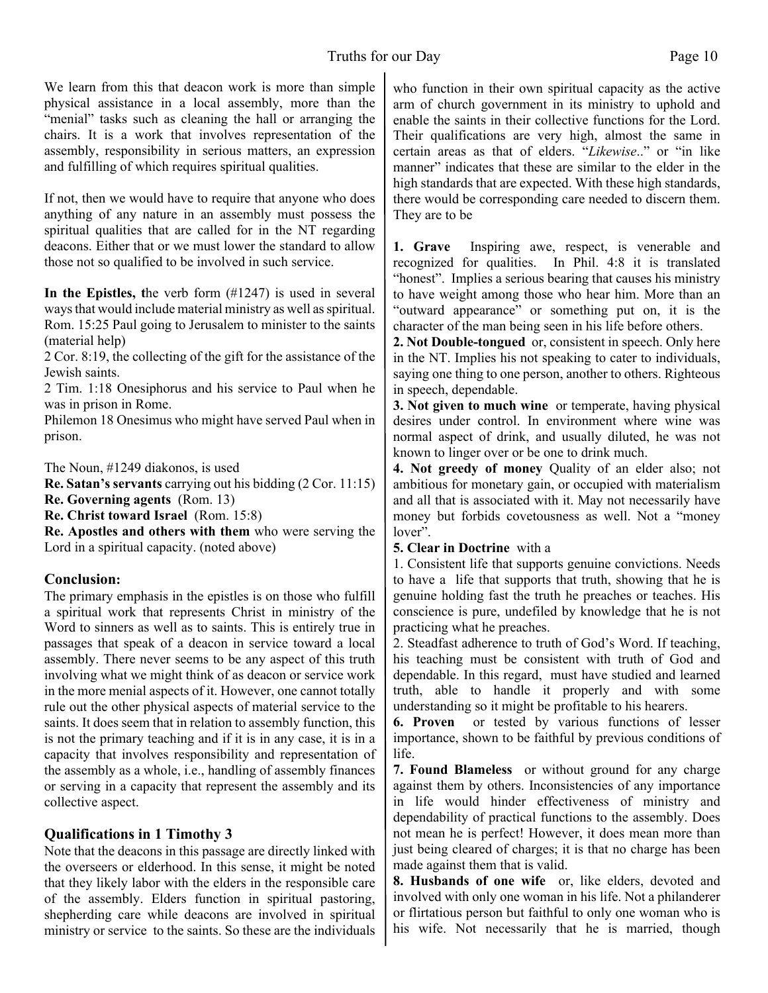We learn from this that deacon work is more than simple physical assistance in a local assembly, more than the "menial" tasks such as cleaning the hall or arranging the chairs. It is a work that involves representation of the assembly, responsibility in serious matters, an expression and fulfilling of which requires spiritual qualities.

If not, then we would have to require that anyone who does anything of any nature in an assembly must possess the spiritual qualities that are called for in the NT regarding deacons. Either that or we must lower the standard to allow those not so qualified to be involved in such service.

**In the Epistles, t**he verb form (#1247) is used in several ways that would include material ministry as well as spiritual. Rom. 15:25 Paul going to Jerusalem to minister to the saints (material help)

2 Cor. 8:19, the collecting of the gift for the assistance of the Jewish saints.

2 Tim. 1:18 Onesiphorus and his service to Paul when he was in prison in Rome.

Philemon 18 Onesimus who might have served Paul when in prison.

The Noun, #1249 diakonos, is used

**Re. Satan's servants** carrying out his bidding (2 Cor. 11:15)

**Re. Governing agents** (Rom. 13)

**Re. Christ toward Israel** (Rom. 15:8)

**Re. Apostles and others with them** who were serving the Lord in a spiritual capacity. (noted above)

#### **Conclusion:**

The primary emphasis in the epistles is on those who fulfill a spiritual work that represents Christ in ministry of the Word to sinners as well as to saints. This is entirely true in passages that speak of a deacon in service toward a local assembly. There never seems to be any aspect of this truth involving what we might think of as deacon or service work in the more menial aspects of it. However, one cannot totally rule out the other physical aspects of material service to the saints. It does seem that in relation to assembly function, this is not the primary teaching and if it is in any case, it is in a capacity that involves responsibility and representation of the assembly as a whole, i.e., handling of assembly finances or serving in a capacity that represent the assembly and its collective aspect.

#### **Qualifications in 1 Timothy 3**

Note that the deacons in this passage are directly linked with the overseers or elderhood. In this sense, it might be noted that they likely labor with the elders in the responsible care of the assembly. Elders function in spiritual pastoring, shepherding care while deacons are involved in spiritual ministry or service to the saints. So these are the individuals

who function in their own spiritual capacity as the active arm of church government in its ministry to uphold and enable the saints in their collective functions for the Lord. Their qualifications are very high, almost the same in certain areas as that of elders. "*Likewise*.." or "in like manner" indicates that these are similar to the elder in the high standards that are expected. With these high standards, there would be corresponding care needed to discern them. They are to be

**1. Grave** Inspiring awe, respect, is venerable and recognized for qualities. In Phil. 4:8 it is translated "honest". Implies a serious bearing that causes his ministry to have weight among those who hear him. More than an "outward appearance" or something put on, it is the character of the man being seen in his life before others.

**2. Not Double-tongued** or, consistent in speech. Only here in the NT. Implies his not speaking to cater to individuals, saying one thing to one person, another to others. Righteous in speech, dependable.

**3. Not given to much wine** or temperate, having physical desires under control. In environment where wine was normal aspect of drink, and usually diluted, he was not known to linger over or be one to drink much.

**4. Not greedy of money** Quality of an elder also; not ambitious for monetary gain, or occupied with materialism and all that is associated with it. May not necessarily have money but forbids covetousness as well. Not a "money lover".

**5. Clear in Doctrine** with a

1. Consistent life that supports genuine convictions. Needs to have a life that supports that truth, showing that he is genuine holding fast the truth he preaches or teaches. His conscience is pure, undefiled by knowledge that he is not practicing what he preaches.

2. Steadfast adherence to truth of God's Word. If teaching, his teaching must be consistent with truth of God and dependable. In this regard, must have studied and learned truth, able to handle it properly and with some understanding so it might be profitable to his hearers.

**6. Proven** or tested by various functions of lesser importance, shown to be faithful by previous conditions of life.

**7. Found Blameless** or without ground for any charge against them by others. Inconsistencies of any importance in life would hinder effectiveness of ministry and dependability of practical functions to the assembly. Does not mean he is perfect! However, it does mean more than just being cleared of charges; it is that no charge has been made against them that is valid.

**8. Husbands of one wife** or, like elders, devoted and involved with only one woman in his life. Not a philanderer or flirtatious person but faithful to only one woman who is his wife. Not necessarily that he is married, though